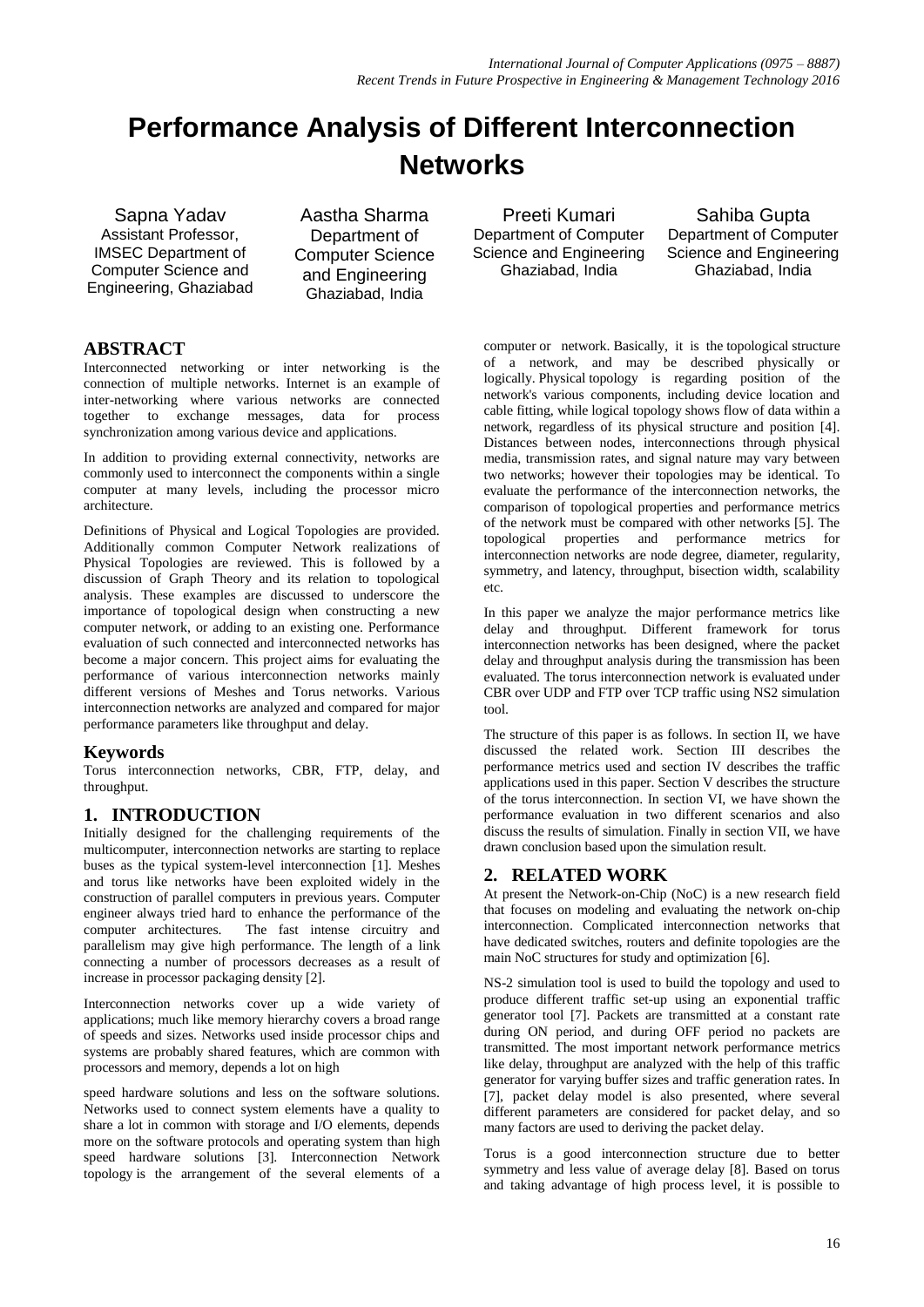# **Performance Analysis of Different Interconnection Networks**

Sapna Yadav Assistant Professor, IMSEC Department of Computer Science and Engineering, Ghaziabad

Aastha Sharma Department of Computer Science and Engineering Ghaziabad, India

# **ABSTRACT**

Interconnected networking or inter networking is the connection of multiple networks. Internet is an example of inter-networking where various networks are connected together to exchange messages, data for process synchronization among various device and applications.

In addition to providing external connectivity, networks are commonly used to interconnect the components within a single computer at many levels, including the processor micro architecture.

Definitions of Physical and Logical Topologies are provided. Additionally common Computer Network realizations of Physical Topologies are reviewed. This is followed by a discussion of Graph Theory and its relation to topological analysis. These examples are discussed to underscore the importance of topological design when constructing a new computer network, or adding to an existing one. Performance evaluation of such connected and interconnected networks has become a major concern. This project aims for evaluating the performance of various interconnection networks mainly different versions of Meshes and Torus networks. Various interconnection networks are analyzed and compared for major performance parameters like throughput and delay.

# **Keywords**

Torus interconnection networks, CBR, FTP, delay, and throughput.

# **1. INTRODUCTION**

Initially designed for the challenging requirements of the multicomputer, interconnection networks are starting to replace buses as the typical system-level interconnection [1]. Meshes and torus like networks have been exploited widely in the construction of parallel computers in previous years. Computer engineer always tried hard to enhance the performance of the computer architectures. The fast intense circuitry and parallelism may give high performance. The length of a link connecting a number of processors decreases as a result of increase in processor packaging density [2].

Interconnection networks cover up a wide variety of applications; much like memory hierarchy covers a broad range of speeds and sizes. Networks used inside processor chips and systems are probably shared features, which are common with processors and memory, depends a lot on high

speed hardware solutions and less on the software solutions. Networks used to connect system elements have a quality to share a lot in common with storage and I/O elements, depends more on the software protocols and operating system than high speed hardware solutions [3]. Interconnection Network topology is the arrangement of the several elements of a

Preeti Kumari Department of Computer Science and Engineering Ghaziabad, India

Sahiba Gupta Department of Computer Science and Engineering Ghaziabad, India

[computer](http://en.wikipedia.org/wiki/Computer_network) or [network.](http://en.wikipedia.org/wiki/Biological_network) Basically, it is the [topological](http://en.wikipedia.org/wiki/Topological) structure of a network, and may be described physically or logically. Physical topology is regarding position of the network's various components, including device location and cable fitting, while [logical topology](http://en.wikipedia.org/wiki/Logical_topology) shows flow of data within a network, regardless of its physical structure and position [4]. Distances between nodes, interconnections through physical media, transmission rates, and signal nature may vary between two networks; however their topologies may be identical. To evaluate the performance of the interconnection networks, the comparison of topological properties and performance metrics of the network must be compared with other networks [5]. The topological properties and performance metrics for interconnection networks are node degree, diameter, regularity, symmetry, and latency, throughput, bisection width, scalability etc.

In this paper we analyze the major performance metrics like delay and throughput. Different framework for torus interconnection networks has been designed, where the packet delay and throughput analysis during the transmission has been evaluated. The torus interconnection network is evaluated under CBR over UDP and FTP over TCP traffic using NS2 simulation tool.

The structure of this paper is as follows. In section II, we have discussed the related work. Section III describes the performance metrics used and section IV describes the traffic applications used in this paper. Section V describes the structure of the torus interconnection. In section VI, we have shown the performance evaluation in two different scenarios and also discuss the results of simulation. Finally in section VII, we have drawn conclusion based upon the simulation result.

# **2. RELATED WORK**

At present the Network-on-Chip (NoC) is a new research field that focuses on modeling and evaluating the network on-chip interconnection. Complicated interconnection networks that have dedicated switches, routers and definite topologies are the main NoC structures for study and optimization [6].

NS-2 simulation tool is used to build the topology and used to produce different traffic set-up using an exponential traffic generator tool [7]. Packets are transmitted at a constant rate during ON period, and during OFF period no packets are transmitted. The most important network performance metrics like delay, throughput are analyzed with the help of this traffic generator for varying buffer sizes and traffic generation rates. In [7], packet delay model is also presented, where several different parameters are considered for packet delay, and so many factors are used to deriving the packet delay.

Torus is a good interconnection structure due to better symmetry and less value of average delay [8]. Based on torus and taking advantage of high process level, it is possible to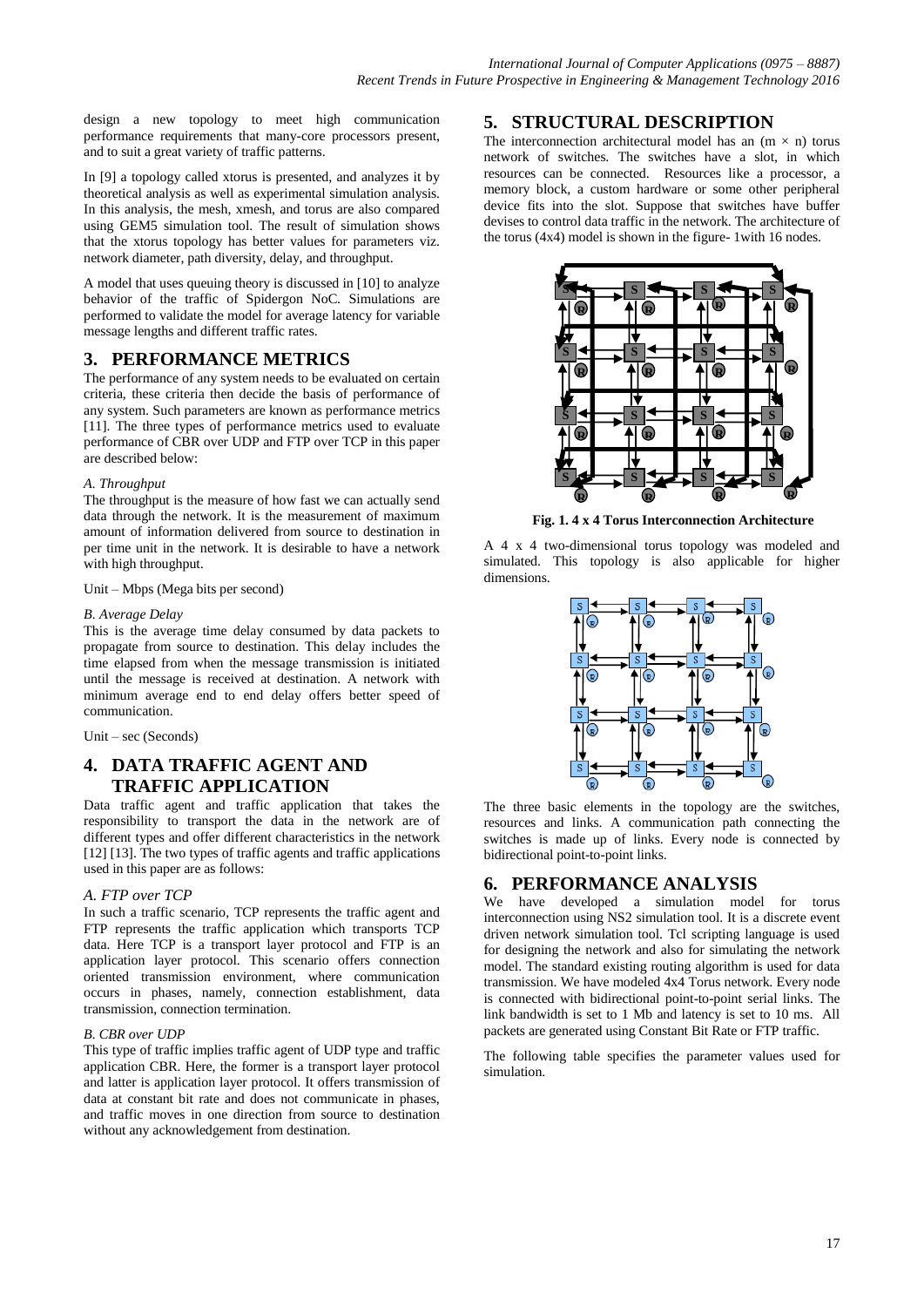design a new topology to meet high communication performance requirements that many-core processors present, and to suit a great variety of traffic patterns.

In [9] a topology called xtorus is presented, and analyzes it by theoretical analysis as well as experimental simulation analysis. In this analysis, the mesh, xmesh, and torus are also compared using GEM5 simulation tool. The result of simulation shows that the xtorus topology has better values for parameters viz. network diameter, path diversity, delay, and throughput.

A model that uses queuing theory is discussed in [10] to analyze behavior of the traffic of Spidergon NoC. Simulations are performed to validate the model for average latency for variable message lengths and different traffic rates.

## **3. PERFORMANCE METRICS**

The performance of any system needs to be evaluated on certain criteria, these criteria then decide the basis of performance of any system. Such parameters are known as performance metrics [11]. The three types of performance metrics used to evaluate performance of CBR over UDP and FTP over TCP in this paper are described below:

#### *A. Throughput*

The throughput is the measure of how fast we can actually send data through the network. It is the measurement of maximum amount of information delivered from source to destination in per time unit in the network. It is desirable to have a network with high throughput.

#### Unit – Mbps (Mega bits per second)

#### *B. Average Delay*

This is the average time delay consumed by data packets to propagate from source to destination. This delay includes the time elapsed from when the message transmission is initiated until the message is received at destination. A network with minimum average end to end delay offers better speed of communication.

Unit – sec (Seconds)

## **4. DATA TRAFFIC AGENT AND TRAFFIC APPLICATION**

Data traffic agent and traffic application that takes the responsibility to transport the data in the network are of different types and offer different characteristics in the network [12] [13]. The two types of traffic agents and traffic applications used in this paper are as follows:

#### *A. FTP over TCP*

In such a traffic scenario, TCP represents the traffic agent and FTP represents the traffic application which transports TCP data. Here TCP is a transport layer protocol and FTP is an application layer protocol. This scenario offers connection oriented transmission environment, where communication occurs in phases, namely, connection establishment, data transmission, connection termination.

#### *B. CBR over UDP*

This type of traffic implies traffic agent of UDP type and traffic application CBR. Here, the former is a transport layer protocol and latter is application layer protocol. It offers transmission of data at constant bit rate and does not communicate in phases, and traffic moves in one direction from source to destination without any acknowledgement from destination.

## **5. STRUCTURAL DESCRIPTION**

The interconnection architectural model has an  $(m \times n)$  torus network of switches. The switches have a slot, in which resources can be connected. Resources like a processor, a memory block, a custom hardware or some other peripheral device fits into the slot. Suppose that switches have buffer devises to control data traffic in the network. The architecture of the torus (4x4) model is shown in the figure- 1with 16 nodes.



**Fig. 1. 4 x 4 Torus Interconnection Architecture**

A 4 x 4 two-dimensional torus topology was modeled and simulated. This topology is also applicable for higher dimensions.



The three basic elements in the topology are the switches, resources and links. A communication path connecting the switches is made up of links. Every node is connected by bidirectional point-to-point links.

## **6. PERFORMANCE ANALYSIS**

We have developed a simulation model for torus interconnection using NS2 simulation tool. It is a discrete event driven network simulation tool. Tcl scripting language is used for designing the network and also for simulating the network model. The standard existing routing algorithm is used for data transmission. We have modeled 4x4 Torus network. Every node is connected with bidirectional point-to-point serial links. The link bandwidth is set to 1 Mb and latency is set to 10 ms. All packets are generated using Constant Bit Rate or FTP traffic.

The following table specifies the parameter values used for simulation.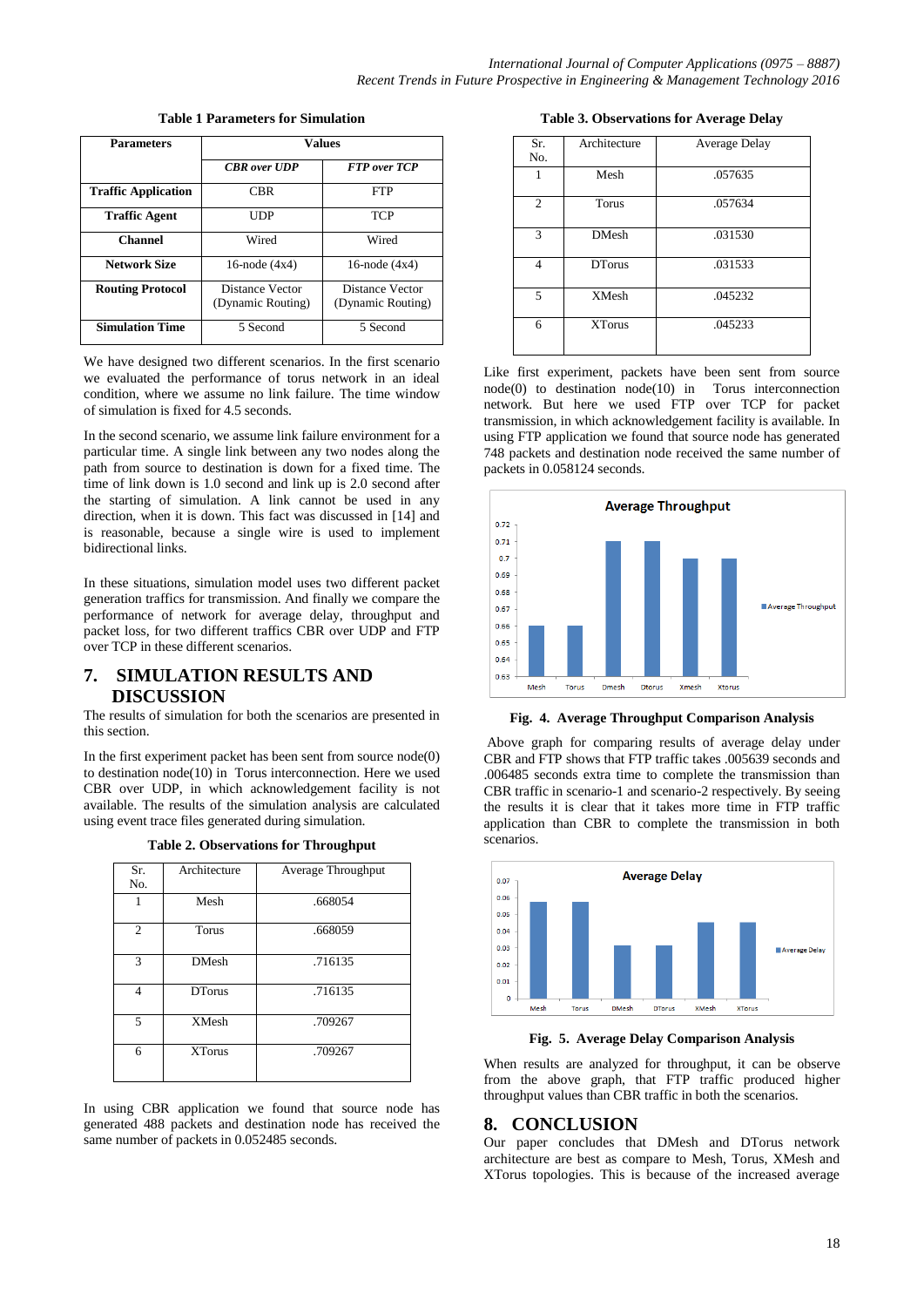| <b>Parameters</b>          | <b>Values</b>                        |                                      |  |
|----------------------------|--------------------------------------|--------------------------------------|--|
|                            | <b>CBR</b> over UDP                  | <b>FTP</b> over TCP                  |  |
| <b>Traffic Application</b> | <b>CBR</b>                           | <b>FTP</b>                           |  |
| <b>Traffic Agent</b>       | UDP                                  | <b>TCP</b>                           |  |
| <b>Channel</b>             | Wired                                | Wired                                |  |
| <b>Network Size</b>        | 16-node $(4x4)$                      | 16-node $(4x4)$                      |  |
| <b>Routing Protocol</b>    | Distance Vector<br>(Dynamic Routing) | Distance Vector<br>(Dynamic Routing) |  |
| <b>Simulation Time</b>     | 5 Second                             | 5 Second                             |  |

**Table 1 Parameters for Simulation**

We have designed two different scenarios. In the first scenario we evaluated the performance of torus network in an ideal condition, where we assume no link failure. The time window of simulation is fixed for 4.5 seconds.

In the second scenario, we assume link failure environment for a particular time. A single link between any two nodes along the path from source to destination is down for a fixed time. The time of link down is 1.0 second and link up is 2.0 second after the starting of simulation. A link cannot be used in any direction, when it is down. This fact was discussed in [14] and is reasonable, because a single wire is used to implement bidirectional links.

In these situations, simulation model uses two different packet generation traffics for transmission. And finally we compare the performance of network for average delay, throughput and packet loss, for two different traffics CBR over UDP and FTP over TCP in these different scenarios.

# **7. SIMULATION RESULTS AND DISCUSSION**

The results of simulation for both the scenarios are presented in this section.

In the first experiment packet has been sent from source node(0) to destination node(10) in Torus interconnection. Here we used CBR over UDP, in which acknowledgement facility is not available. The results of the simulation analysis are calculated using event trace files generated during simulation.

| Sr.<br>No.     | Architecture  | Average Throughput |
|----------------|---------------|--------------------|
| 1              | Mesh          | .668054            |
| $\overline{2}$ | Torus         | .668059            |
| 3              | <b>DMesh</b>  | .716135            |
| 4              | <b>DTorus</b> | .716135            |
| 5              | <b>XMesh</b>  | .709267            |
| 6              | <b>XTorus</b> | .709267            |

**Table 2. Observations for Throughput**

In using CBR application we found that source node has generated 488 packets and destination node has received the same number of packets in 0.052485 seconds.

**Table 3. Observations for Average Delay**

| Sr.<br>No.     | Architecture  | Average Delay |
|----------------|---------------|---------------|
| 1              | Mesh          | .057635       |
| $\overline{2}$ | Torus         | .057634       |
| 3              | <b>DMesh</b>  | .031530       |
| 4              | <b>DTorus</b> | .031533       |
| 5              | <b>XMesh</b>  | .045232       |
| 6              | <b>XTorus</b> | .045233       |

Like first experiment, packets have been sent from source node(0) to destination node(10) in Torus interconnection network. But here we used FTP over TCP for packet transmission, in which acknowledgement facility is available. In using FTP application we found that source node has generated 748 packets and destination node received the same number of packets in 0.058124 seconds.



**Fig. 4. Average Throughput Comparison Analysis**

Above graph for comparing results of average delay under CBR and FTP shows that FTP traffic takes .005639 seconds and .006485 seconds extra time to complete the transmission than CBR traffic in scenario-1 and scenario-2 respectively. By seeing the results it is clear that it takes more time in FTP traffic application than CBR to complete the transmission in both scenarios.



**Fig. 5. Average Delay Comparison Analysis**

When results are analyzed for throughput, it can be observe from the above graph, that FTP traffic produced higher throughput values than CBR traffic in both the scenarios.

### **8. CONCLUSION**

Our paper concludes that DMesh and DTorus network architecture are best as compare to Mesh, Torus, XMesh and XTorus topologies. This is because of the increased average